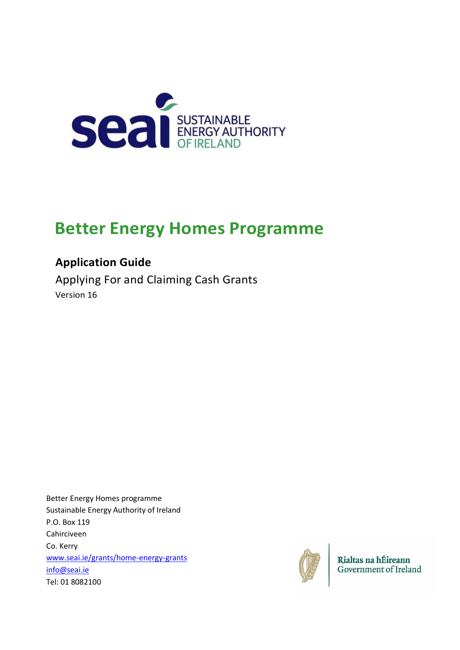

# **Better Energy Homes Programme**

# **Application Guide**

Applying For and Claiming Cash Grants Version 16

Better Energy Homes programme Sustainable Energy Authority of Ireland P.O. Box 119 Cahirciveen Co. Kerry [www.seai.ie/grants/home-energy-grants](http://www.seai.ie/grants/home-energy-grants) [info@seai.ie](mailto:info@seai.ie) Tel: 01 8082100



Rialtas na hÉireann Government of Ireland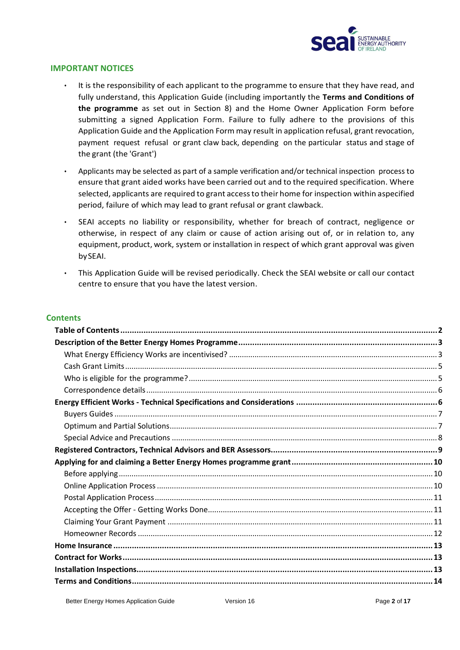

#### **IMPORTANT NOTICES**

- It is the responsibility of each applicant to the programme to ensure that they have read, and fully understand, this Application Guide (including importantly the **Terms and Conditions of the programme** as set out in Section 8) and the Home Owner Application Form before submitting a signed Application Form. Failure to fully adhere to the provisions of this Application Guide and the Application Form may result in application refusal, grant revocation, payment request refusal or grant claw back, depending on the particular status and stage of the grant (the 'Grant')
- Applicants may be selected as part of a sample verification and/or technical inspection process to ensure that grant aided works have been carried out and to the required specification. Where selected, applicants are required to grant accessto their home for inspection within aspecified period, failure of which may lead to grant refusal or grant clawback.
- SEAI accepts no liability or responsibility, whether for breach of contract, negligence or otherwise, in respect of any claim or cause of action arising out of, or in relation to, any equipment, product, work, system or installation in respect of which grant approval was given bySEAI.
- This Application Guide will be revised periodically. Check the SEAI website or call our contact centre to ensure that you have the latest version.

#### **Contents**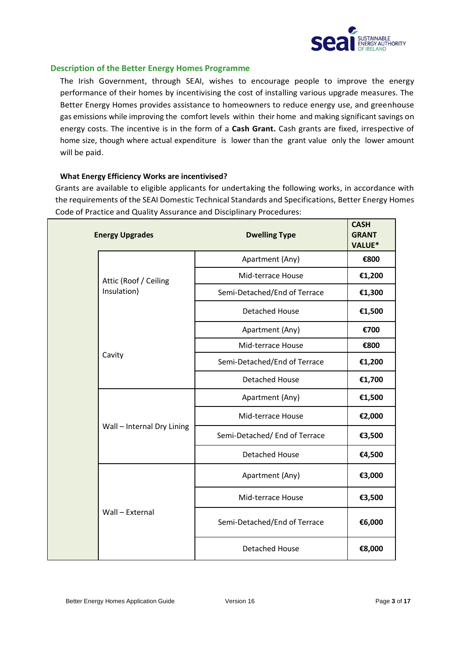

#### <span id="page-2-0"></span>**Description of the Better Energy Homes Programme**

The Irish Government, through SEAI, wishes to encourage people to improve the energy performance of their homes by incentivising the cost of installing various upgrade measures. The Better Energy Homes provides assistance to homeowners to reduce energy use, and greenhouse gas emissions while improving the comfort levels within their home and making significant savings on energy costs. The incentive is in the form of a **Cash Grant.** Cash grants are fixed, irrespective of home size, though where actual expenditure is lower than the grant value only the lower amount will be paid.

#### <span id="page-2-1"></span>**What Energy Efficiency Works are incentivised?**

Grants are available to eligible applicants for undertaking the following works, in accordance with the requirements of the SEAI Domestic Technical Standards and Specifications, Better Energy Homes Code of Practice and Quality Assurance and Disciplinary Procedures:

|  | <b>Energy Upgrades</b>     | <b>Dwelling Type</b>         | <b>CASH</b><br><b>GRANT</b><br><b>VALUE*</b> |
|--|----------------------------|------------------------------|----------------------------------------------|
|  | Attic (Roof / Ceiling      | Apartment (Any)              | €800                                         |
|  |                            | Mid-terrace House            | €1,200                                       |
|  | Insulation)                | Semi-Detached/End of Terrace | €1,300                                       |
|  |                            | <b>Detached House</b>        | €1,500                                       |
|  |                            | Apartment (Any)              | €700                                         |
|  |                            | Mid-terrace House            | €800                                         |
|  | Cavity                     | Semi-Detached/End of Terrace | €1,200                                       |
|  |                            | <b>Detached House</b>        | €1,700                                       |
|  |                            | Apartment (Any)              | €1,500                                       |
|  |                            | Mid-terrace House            | €2,000                                       |
|  | Wall - Internal Dry Lining | Semi-Detached/End of Terrace | €3,500                                       |
|  |                            | <b>Detached House</b>        | €4,500                                       |
|  |                            | Apartment (Any)              | €3,000                                       |
|  |                            | Mid-terrace House            | €3,500                                       |
|  | Wall - External            | Semi-Detached/End of Terrace | €6,000                                       |
|  |                            | <b>Detached House</b>        | €8,000                                       |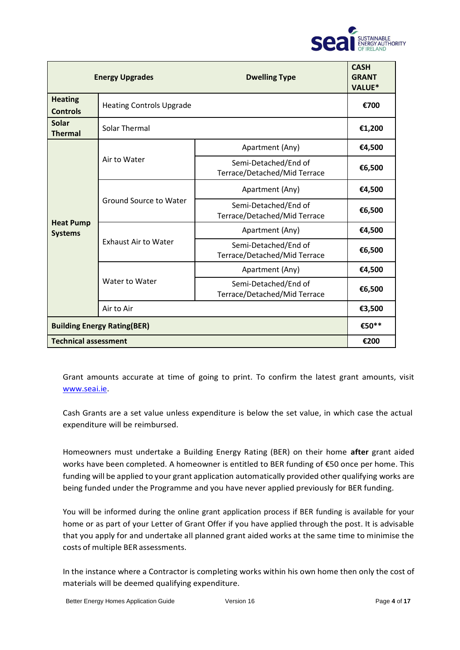

|                                    | <b>Energy Upgrades</b>                                                         | <b>Dwelling Type</b>                                 | <b>CASH</b><br><b>GRANT</b><br><b>VALUE*</b> |
|------------------------------------|--------------------------------------------------------------------------------|------------------------------------------------------|----------------------------------------------|
| <b>Heating</b><br><b>Controls</b>  | <b>Heating Controls Upgrade</b>                                                |                                                      | €700                                         |
| <b>Solar</b><br><b>Thermal</b>     | Solar Thermal                                                                  |                                                      | €1,200                                       |
|                                    |                                                                                | Apartment (Any)                                      | €4,500                                       |
|                                    | Air to Water                                                                   | Semi-Detached/End of<br>Terrace/Detached/Mid Terrace | €6,500                                       |
|                                    | <b>Ground Source to Water</b><br><b>Exhaust Air to Water</b><br>Water to Water | Apartment (Any)                                      | €4,500                                       |
| <b>Heat Pump</b><br><b>Systems</b> |                                                                                | Semi-Detached/End of<br>Terrace/Detached/Mid Terrace | €6,500                                       |
|                                    |                                                                                | Apartment (Any)                                      | €4,500                                       |
|                                    |                                                                                | Semi-Detached/End of<br>Terrace/Detached/Mid Terrace | €6,500                                       |
|                                    |                                                                                | Apartment (Any)                                      | €4,500                                       |
|                                    |                                                                                | Semi-Detached/End of<br>Terrace/Detached/Mid Terrace | €6,500                                       |
|                                    | Air to Air                                                                     |                                                      | €3,500                                       |
| <b>Building Energy Rating(BER)</b> |                                                                                |                                                      | €50**                                        |
| <b>Technical assessment</b>        |                                                                                |                                                      | €200                                         |

Grant amounts accurate at time of going to print. To confirm the latest grant amounts, visit [www.seai.ie.](http://www.seai.ie/)

Cash Grants are a set value unless expenditure is below the set value, in which case the actual expenditure will be reimbursed.

Homeowners must undertake a Building Energy Rating (BER) on their home **after** grant aided works have been completed. A homeowner is entitled to BER funding of €50 once per home. This funding will be applied to your grant application automatically provided other qualifying works are being funded under the Programme and you have never applied previously for BER funding.

You will be informed during the online grant application process if BER funding is available for your home or as part of your Letter of Grant Offer if you have applied through the post. It is advisable that you apply for and undertake all planned grant aided works at the same time to minimise the costs of multiple BER assessments.

In the instance where a Contractor is completing works within his own home then only the cost of materials will be deemed qualifying expenditure.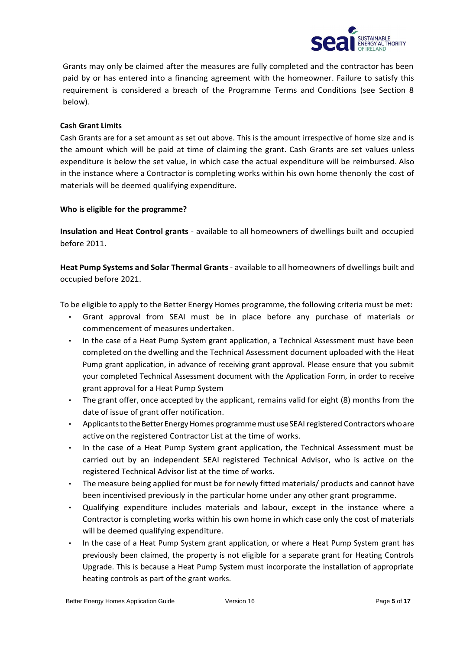

Grants may only be claimed after the measures are fully completed and the contractor has been paid by or has entered into a financing agreement with the homeowner. Failure to satisfy this requirement is considered a breach of the Programme Terms and Conditions (see Section 8 below).

#### <span id="page-4-0"></span>**Cash Grant Limits**

Cash Grants are for a set amount as set out above. This is the amount irrespective of home size and is the amount which will be paid at time of claiming the grant. Cash Grants are set values unless expenditure is below the set value, in which case the actual expenditure will be reimbursed. Also in the instance where a Contractor is completing works within his own home thenonly the cost of materials will be deemed qualifying expenditure.

#### <span id="page-4-1"></span>**Who is eligible for the programme?**

**Insulation and Heat Control grants** - available to all homeowners of dwellings built and occupied before 2011.

**Heat Pump Systems and Solar Thermal Grants**- available to all homeowners of dwellings built and occupied before 2021.

To be eligible to apply to the Better Energy Homes programme, the following criteria must be met:

- Grant approval from SEAI must be in place before any purchase of materials or commencement of measures undertaken.
- In the case of a Heat Pump System grant application, a Technical Assessment must have been completed on the dwelling and the Technical Assessment document uploaded with the Heat Pump grant application, in advance of receiving grant approval. Please ensure that you submit your completed Technical Assessment document with the Application Form, in order to receive grant approval for a Heat Pump System
- The grant offer, once accepted by the applicant, remains valid for eight (8) months from the date of issue of grant offer notification.
- Applicants to the Better Energy Homes programme must use SEAI registered Contractors who are active on the registered Contractor List at the time of works.
- In the case of a Heat Pump System grant application, the Technical Assessment must be carried out by an independent SEAI registered Technical Advisor, who is active on the registered Technical Advisor list at the time of works.
- The measure being applied for must be for newly fitted materials/ products and cannot have been incentivised previously in the particular home under any other grant programme.
- Qualifying expenditure includes materials and labour, except in the instance where a Contractor is completing works within his own home in which case only the cost of materials will be deemed qualifying expenditure.
- In the case of a Heat Pump System grant application, or where a Heat Pump System grant has previously been claimed, the property is not eligible for a separate grant for Heating Controls Upgrade. This is because a Heat Pump System must incorporate the installation of appropriate heating controls as part of the grant works.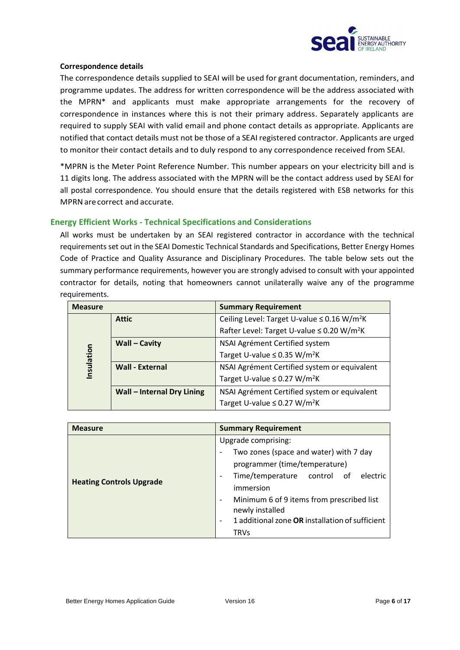

#### <span id="page-5-0"></span>**Correspondence details**

The correspondence details supplied to SEAI will be used for grant documentation, reminders, and programme updates. The address for written correspondence will be the address associated with the MPRN\* and applicants must make appropriate arrangements for the recovery of correspondence in instances where this is not their primary address. Separately applicants are required to supply SEAI with valid email and phone contact details as appropriate. Applicants are notified that contact details must not be those of a SEAI registered contractor. Applicants are urged to monitor their contact details and to duly respond to any correspondence received from SEAI.

\*MPRN is the Meter Point Reference Number. This number appears on your electricity bill and is 11 digits long. The address associated with the MPRN will be the contact address used by SEAI for all postal correspondence. You should ensure that the details registered with ESB networks for this MPRNare correct and accurate.

#### <span id="page-5-1"></span>**Energy Efficient Works - Technical Specifications and Considerations**

All works must be undertaken by an SEAI registered contractor in accordance with the technical requirements set out in the SEAI Domestic Technical Standards and Specifications, Better Energy Homes Code of Practice and Quality Assurance and Disciplinary Procedures. The table below sets out the summary performance requirements, however you are strongly advised to consult with your appointed contractor for details, noting that homeowners cannot unilaterally waive any of the programme requirements.

| <b>Measure</b> |                                   | <b>Summary Requirement</b>                                   |
|----------------|-----------------------------------|--------------------------------------------------------------|
|                | <b>Attic</b>                      | Ceiling Level: Target U-value $\leq$ 0.16 W/m <sup>2</sup> K |
|                |                                   | Rafter Level: Target U-value ≤ 0.20 W/m <sup>2</sup> K       |
|                | <b>Wall - Cavity</b>              | NSAI Agrément Certified system                               |
| Insulation     |                                   | Target U-value $\leq$ 0.35 W/m <sup>2</sup> K                |
|                | <b>Wall - External</b>            | NSAI Agrément Certified system or equivalent                 |
|                |                                   | Target U-value $\leq$ 0.27 W/m <sup>2</sup> K                |
|                | <b>Wall - Internal Dry Lining</b> | NSAI Agrément Certified system or equivalent                 |
|                |                                   | Target U-value $\leq$ 0.27 W/m <sup>2</sup> K                |

| <b>Measure</b>                  | <b>Summary Requirement</b>                                                                                                                                     |
|---------------------------------|----------------------------------------------------------------------------------------------------------------------------------------------------------------|
|                                 | Upgrade comprising:                                                                                                                                            |
|                                 | Two zones (space and water) with 7 day<br>$\overline{\phantom{a}}$                                                                                             |
|                                 | programmer (time/temperature)                                                                                                                                  |
| <b>Heating Controls Upgrade</b> | Time/temperature control of<br>electric<br>$\overline{\phantom{a}}$<br>immersion                                                                               |
|                                 | Minimum 6 of 9 items from prescribed list<br>$\qquad \qquad$<br>newly installed<br>1 additional zone OR installation of sufficient<br>$\overline{\phantom{0}}$ |
|                                 | <b>TRVs</b>                                                                                                                                                    |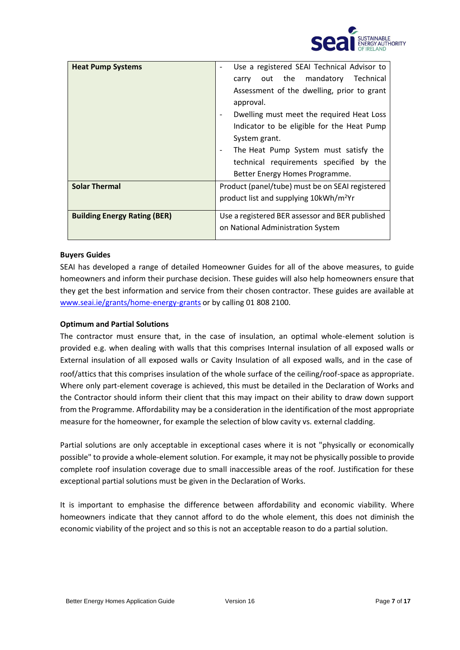

| <b>Heat Pump Systems</b>            | Use a registered SEAI Technical Advisor to         |
|-------------------------------------|----------------------------------------------------|
|                                     | out the mandatory<br>Technical<br>carry            |
|                                     | Assessment of the dwelling, prior to grant         |
|                                     | approval.                                          |
|                                     | Dwelling must meet the required Heat Loss          |
|                                     | Indicator to be eligible for the Heat Pump         |
|                                     | System grant.                                      |
|                                     | The Heat Pump System must satisfy the              |
|                                     | technical requirements specified by the            |
|                                     | Better Energy Homes Programme.                     |
| <b>Solar Thermal</b>                | Product (panel/tube) must be on SEAI registered    |
|                                     | product list and supplying 10kWh/m <sup>2</sup> Yr |
|                                     |                                                    |
| <b>Building Energy Rating (BER)</b> | Use a registered BER assessor and BER published    |
|                                     | on National Administration System                  |
|                                     |                                                    |

#### <span id="page-6-0"></span>**Buyers Guides**

SEAI has developed a range of detailed Homeowner Guides for all of the above measures, to guide homeowners and inform their purchase decision. These guides will also help homeowners ensure that they get the best information and service from their chosen contractor. These guides are available at [www.seai.ie/grants/home-energy-grants](http://www.seai.ie/grants/home-energy-grants) or by calling 01 808 2100.

#### <span id="page-6-1"></span>**Optimum and Partial Solutions**

The contractor must ensure that, in the case of insulation, an optimal whole-element solution is provided e.g. when dealing with walls that this comprises Internal insulation of all exposed walls or External insulation of all exposed walls or Cavity Insulation of all exposed walls, and in the case of roof/attics that this comprises insulation of the whole surface of the ceiling/roof-space as appropriate. Where only part-element coverage is achieved, this must be detailed in the Declaration of Works and the Contractor should inform their client that this may impact on their ability to draw down support from the Programme. Affordability may be a consideration in the identification of the most appropriate measure for the homeowner, for example the selection of blow cavity vs. external cladding.

Partial solutions are only acceptable in exceptional cases where it is not "physically or economically possible" to provide a whole-element solution. For example, it may not be physically possible to provide complete roof insulation coverage due to small inaccessible areas of the roof. Justification for these exceptional partial solutions must be given in the Declaration of Works.

It is important to emphasise the difference between affordability and economic viability. Where homeowners indicate that they cannot afford to do the whole element, this does not diminish the economic viability of the project and so this is not an acceptable reason to do a partial solution.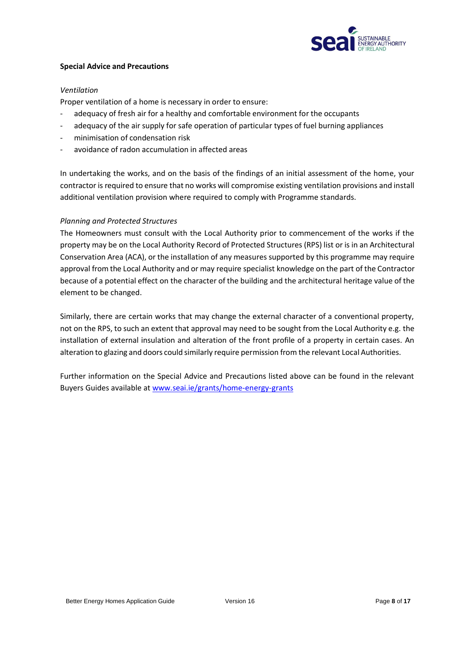

#### <span id="page-7-0"></span>**Special Advice and Precautions**

#### *Ventilation*

Proper ventilation of a home is necessary in order to ensure:

- adequacy of fresh air for a healthy and comfortable environment for the occupants
- adequacy of the air supply for safe operation of particular types of fuel burning appliances
- minimisation of condensation risk
- avoidance of radon accumulation in affected areas

In undertaking the works, and on the basis of the findings of an initial assessment of the home, your contractor is required to ensure that no works will compromise existing ventilation provisions and install additional ventilation provision where required to comply with Programme standards.

#### *Planning and Protected Structures*

The Homeowners must consult with the Local Authority prior to commencement of the works if the property may be on the Local Authority Record of Protected Structures (RPS) list or is in an Architectural Conservation Area (ACA), or the installation of any measures supported by this programme may require approval from the Local Authority and or may require specialist knowledge on the part of the Contractor because of a potential effect on the character of the building and the architectural heritage value of the element to be changed.

Similarly, there are certain works that may change the external character of a conventional property, not on the RPS, to such an extent that approval may need to be sought from the Local Authority e.g. the installation of external insulation and alteration of the front profile of a property in certain cases. An alteration to glazing and doors could similarly require permission from the relevant Local Authorities.

Further information on the Special Advice and Precautions listed above can be found in the relevant Buyers Guides available at [www.seai.ie/grants/home-energy-grants](http://www.seai.ie/grants/home-energy-grants)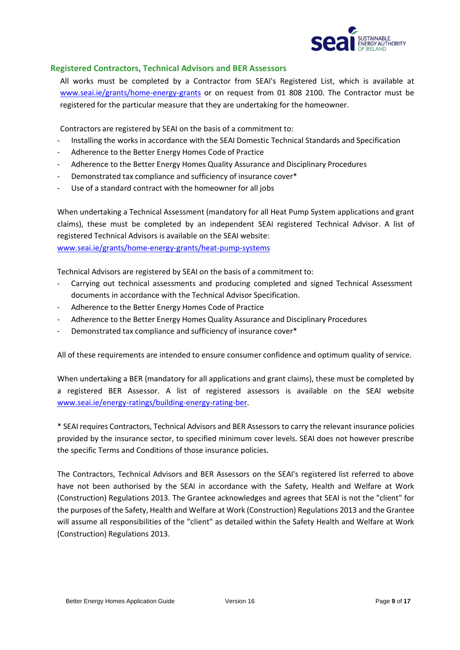

#### <span id="page-8-0"></span>**Registered Contractors, Technical Advisors and BER Assessors**

All works must be completed by a Contractor from SEAI's Registered List, which is available at [www.seai.ie/grants/home-energy-grants](http://www.seai.ie/grants/home-energy-grants) or on request from 01 808 2100. The Contractor must be registered for the particular measure that they are undertaking for the homeowner.

Contractors are registered by SEAI on the basis of a commitment to:

- Installing the works in accordance with the SEAI Domestic Technical Standards and Specification
- Adherence to the Better Energy Homes Code of Practice
- Adherence to the Better Energy Homes Quality Assurance and Disciplinary Procedures
- Demonstrated tax compliance and sufficiency of insurance cover\*
- Use of a standard contract with the homeowner for all jobs

When undertaking a Technical Assessment (mandatory for all Heat Pump System applications and grant claims), these must be completed by an independent SEAI registered Technical Advisor. A list of registered Technical Advisors is available on the SEAI website: [www.seai.ie/grants/home-energy-grants/heat-pump-systems](http://www.seai.ie/grants/home-energy-grants/heat-pump-systems)

Technical Advisors are registered by SEAI on the basis of a commitment to:

- Carrying out technical assessments and producing completed and signed Technical Assessment documents in accordance with the Technical Advisor Specification.
- Adherence to the Better Energy Homes Code of Practice
- Adherence to the Better Energy Homes Quality Assurance and Disciplinary Procedures
- Demonstrated tax compliance and sufficiency of insurance cover\*

All of these requirements are intended to ensure consumer confidence and optimum quality of service.

When undertaking a BER (mandatory for all applications and grant claims), these must be completed by a registered BER Assessor. A list of registered assessors is available on the SEAI website [www.seai.ie/energy-ratings/building-energy-rating-ber.](http://www.seai.ie/energy-ratings/building-energy-rating-ber)

\* SEAI requires Contractors, Technical Advisors and BER Assessors to carry the relevant insurance policies provided by the insurance sector, to specified minimum cover levels. SEAI does not however prescribe the specific Terms and Conditions of those insurance policies.

The Contractors, Technical Advisors and BER Assessors on the SEAI's registered list referred to above have not been authorised by the SEAI in accordance with the Safety, Health and Welfare at Work (Construction) Regulations 2013. The Grantee acknowledges and agrees that SEAI is not the "client" for the purposes of the Safety, Health and Welfare at Work (Construction) Regulations 2013 and the Grantee will assume all responsibilities of the "client" as detailed within the Safety Health and Welfare at Work (Construction) Regulations 2013.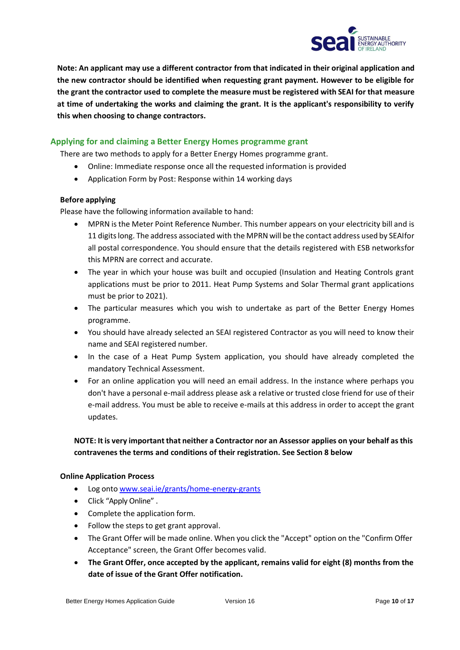

**Note: An applicant may use a different contractor from that indicated in their original application and the new contractor should be identified when requesting grant payment. However to be eligible for the grant the contractor used to complete the measure must be registered with SEAI for that measure at time of undertaking the works and claiming the grant. It is the applicant's responsibility to verify this when choosing to change contractors.**

# <span id="page-9-0"></span>**Applying for and claiming a Better Energy Homes programme grant**

There are two methods to apply for a Better Energy Homes programme grant.

- Online: Immediate response once all the requested information is provided
- Application Form by Post: Response within 14 working days

#### <span id="page-9-1"></span>**Before applying**

Please have the following information available to hand:

- MPRN is the Meter Point Reference Number. This number appears on your electricity bill and is 11 digitslong. The address associated with the MPRN will be the contact address used by SEAIfor all postal correspondence. You should ensure that the details registered with ESB networksfor this MPRN are correct and accurate.
- The year in which your house was built and occupied (Insulation and Heating Controls grant applications must be prior to 2011. Heat Pump Systems and Solar Thermal grant applications must be prior to 2021).
- The particular measures which you wish to undertake as part of the Better Energy Homes programme.
- You should have already selected an SEAI registered Contractor as you will need to know their name and SEAI registered number.
- In the case of a Heat Pump System application, you should have already completed the mandatory Technical Assessment.
- For an online application you will need an email address. In the instance where perhaps you don't have a personal e-mail address please ask a relative or trusted close friend for use of their e-mail address. You must be able to receive e-mails at this address in order to accept the grant updates.

# **NOTE: It is very important that neither a Contractor nor an Assessor applies on your behalf asthis contravenes the terms and conditions of their registration. See Section 8 below**

#### <span id="page-9-2"></span>**Online Application Process**

- Log onto [www.seai.ie/grants/home-energy-grants](http://www.seai.ie/grants/home-energy-grants)
- Click "Apply Online" .
- Complete the application form.
- Follow the steps to get grant approval.
- The Grant Offer will be made online. When you click the "Accept" option on the "Confirm Offer Acceptance" screen, the Grant Offer becomes valid.
- **The Grant Offer, once accepted by the applicant, remains valid for eight (8) months from the date of issue of the Grant Offer notification.**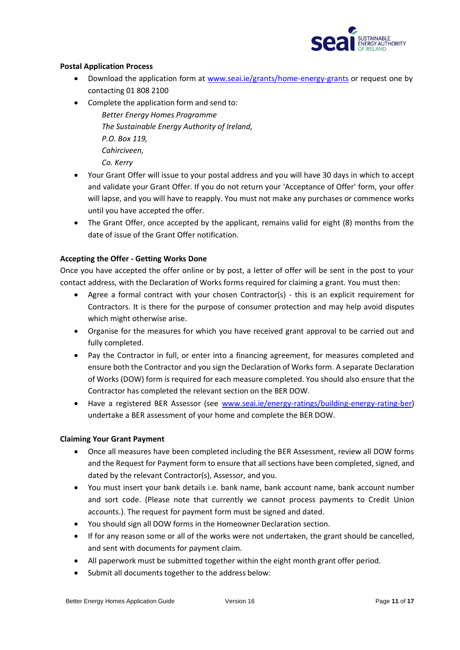

#### <span id="page-10-0"></span>**Postal Application Process**

- Download the application form at [www.seai.ie/grants/home-energy-grants](http://www.seai.ie/grants/home-energy-grants) or request one by contacting 01 808 2100
- Complete the application form and send to:

*Better Energy Homes Programme The Sustainable Energy Authority of Ireland, P.O. Box 119, Cahirciveen, Co. Kerry*

- Your Grant Offer will issue to your postal address and you will have 30 days in which to accept and validate your Grant Offer. If you do not return your 'Acceptance of Offer' form, your offer will lapse, and you will have to reapply. You must not make any purchases or commence works until you have accepted the offer.
- The Grant Offer, once accepted by the applicant, remains valid for eight (8) months from the date of issue of the Grant Offer notification.

## <span id="page-10-1"></span>**Accepting the Offer - Getting Works Done**

Once you have accepted the offer online or by post, a letter of offer will be sent in the post to your contact address, with the Declaration of Works forms required for claiming a grant. You must then:

- Agree a formal contract with your chosen Contractor(s) this is an explicit requirement for Contractors. It is there for the purpose of consumer protection and may help avoid disputes which might otherwise arise.
- Organise for the measures for which you have received grant approval to be carried out and fully completed.
- Pay the Contractor in full, or enter into a financing agreement, for measures completed and ensure both the Contractor and you sign the Declaration of Works form. A separate Declaration of Works (DOW) form is required for each measure completed. You should also ensure that the Contractor has completed the relevant section on the BER DOW.
- Have a registered BER Assessor (see [www.seai.ie/energy-ratings/building-energy-rating-ber\)](http://www.seai.ie/energy-ratings/building-energy-rating-ber) undertake a BER assessment of your home and complete the BER DOW.

## <span id="page-10-2"></span>**Claiming Your Grant Payment**

- Once all measures have been completed including the BER Assessment, review all DOW forms and the Request for Payment form to ensure that all sections have been completed, signed, and dated by the relevant Contractor(s), Assessor, and you.
- You must insert your bank details i.e. bank name, bank account name, bank account number and sort code. (Please note that currently we cannot process payments to Credit Union accounts.). The request for payment form must be signed and dated.
- You should sign all DOW forms in the Homeowner Declaration section.
- If for any reason some or all of the works were not undertaken, the grant should be cancelled, and sent with documents for payment claim.
- All paperwork must be submitted together within the eight month grant offer period.
- Submit all documents together to the address below: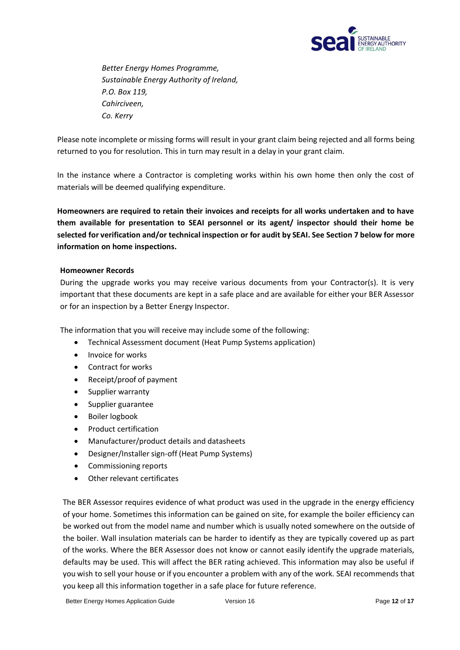

*Better Energy Homes Programme, Sustainable Energy Authority of Ireland, P.O. Box 119, Cahirciveen, Co. Kerry*

Please note incomplete or missing forms will result in your grant claim being rejected and all forms being returned to you for resolution. This in turn may result in a delay in your grant claim.

In the instance where a Contractor is completing works within his own home then only the cost of materials will be deemed qualifying expenditure.

**Homeowners are required to retain their invoices and receipts for all works undertaken and to have them available for presentation to SEAI personnel or its agent/ inspector should their home be selected for verification and/or technical inspection or for audit by SEAI. See Section 7 below for more information on home inspections.**

#### <span id="page-11-0"></span>**Homeowner Records**

During the upgrade works you may receive various documents from your Contractor(s). It is very important that these documents are kept in a safe place and are available for either your BER Assessor or for an inspection by a Better Energy Inspector.

The information that you will receive may include some of the following:

- Technical Assessment document (Heat Pump Systems application)
- Invoice for works
- Contract for works
- Receipt/proof of payment
- Supplier warranty
- Supplier guarantee
- Boiler logbook
- Product certification
- Manufacturer/product details and datasheets
- Designer/Installer sign-off (Heat Pump Systems)
- Commissioning reports
- Other relevant certificates

The BER Assessor requires evidence of what product was used in the upgrade in the energy efficiency of your home. Sometimes this information can be gained on site, for example the boiler efficiency can be worked out from the model name and number which is usually noted somewhere on the outside of the boiler. Wall insulation materials can be harder to identify as they are typically covered up as part of the works. Where the BER Assessor does not know or cannot easily identify the upgrade materials, defaults may be used. This will affect the BER rating achieved. This information may also be useful if you wish to sell your house or if you encounter a problem with any of the work. SEAI recommends that you keep all this information together in a safe place for future reference.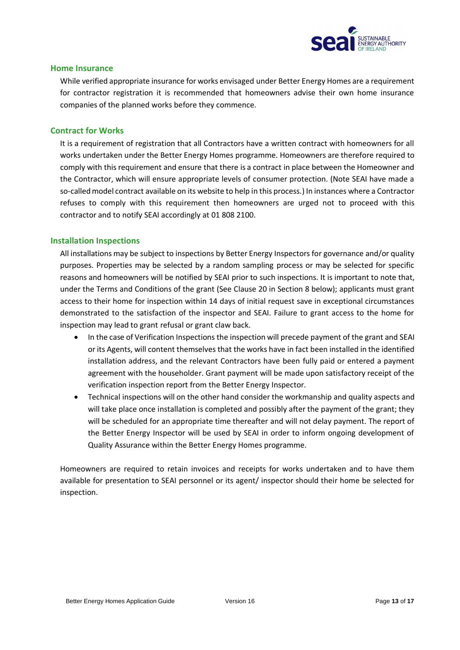

#### <span id="page-12-0"></span>**Home Insurance**

While verified appropriate insurance for works envisaged under Better Energy Homes are a requirement for contractor registration it is recommended that homeowners advise their own home insurance companies of the planned works before they commence.

#### <span id="page-12-1"></span>**Contract for Works**

It is a requirement of registration that all Contractors have a written contract with homeowners for all works undertaken under the Better Energy Homes programme. Homeowners are therefore required to comply with this requirement and ensure that there is a contract in place between the Homeowner and the Contractor, which will ensure appropriate levels of consumer protection. (Note SEAI have made a so-calledmodel contract available on its website to help in this process.) In instances where a Contractor refuses to comply with this requirement then homeowners are urged not to proceed with this contractor and to notify SEAI accordingly at 01 808 2100.

#### <span id="page-12-2"></span>**Installation Inspections**

All installations may be subject to inspections by Better Energy Inspectors for governance and/or quality purposes. Properties may be selected by a random sampling process or may be selected for specific reasons and homeowners will be notified by SEAI prior to such inspections. It is important to note that, under the Terms and Conditions of the grant (See Clause 20 in Section 8 below); applicants must grant access to their home for inspection within 14 days of initial request save in exceptional circumstances demonstrated to the satisfaction of the inspector and SEAI. Failure to grant access to the home for inspection may lead to grant refusal or grant claw back.

- In the case of Verification Inspections the inspection will precede payment of the grant and SEAI or its Agents, will content themselves that the works have in fact been installed in the identified installation address, and the relevant Contractors have been fully paid or entered a payment agreement with the householder. Grant payment will be made upon satisfactory receipt of the verification inspection report from the Better Energy Inspector.
- Technical inspections will on the other hand consider the workmanship and quality aspects and will take place once installation is completed and possibly after the payment of the grant; they will be scheduled for an appropriate time thereafter and will not delay payment. The report of the Better Energy Inspector will be used by SEAI in order to inform ongoing development of Quality Assurance within the Better Energy Homes programme.

Homeowners are required to retain invoices and receipts for works undertaken and to have them available for presentation to SEAI personnel or its agent/ inspector should their home be selected for inspection.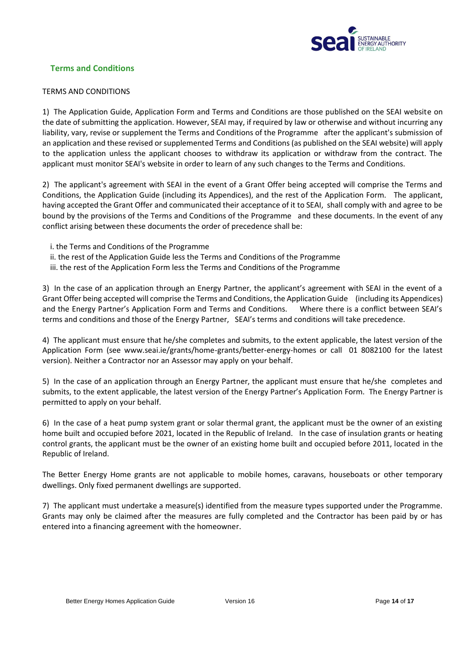

# <span id="page-13-0"></span>**Terms and Conditions**

#### TERMS AND CONDITIONS

1) The Application Guide, Application Form and Terms and Conditions are those published on the SEAI website on the date of submitting the application. However, SEAI may, if required by law or otherwise and without incurring any liability, vary, revise or supplement the Terms and Conditions of the Programme after the applicant's submission of an application and these revised or supplemented Terms and Conditions (as published on the SEAI website) will apply to the application unless the applicant chooses to withdraw its application or withdraw from the contract. The applicant must monitor SEAI's website in order to learn of any such changes to the Terms and Conditions.

2) The applicant's agreement with SEAI in the event of a Grant Offer being accepted will comprise the Terms and Conditions, the Application Guide (including its Appendices), and the rest of the Application Form. The applicant, having accepted the Grant Offer and communicated their acceptance of it to SEAI, shall comply with and agree to be bound by the provisions of the Terms and Conditions of the Programme and these documents. In the event of any conflict arising between these documents the order of precedence shall be:

- i. the Terms and Conditions of the Programme
- ii. the rest of the Application Guide less the Terms and Conditions of the Programme
- iii. the rest of the Application Form less the Terms and Conditions of the Programme

3) In the case of an application through an Energy Partner, the applicant's agreement with SEAI in the event of a Grant Offer being accepted will comprise the Terms and Conditions, the Application Guide (including its Appendices) and the Energy Partner's Application Form and Terms and Conditions. Where there is a conflict between SEAI's terms and conditions and those of the Energy Partner, SEAI's terms and conditions will take precedence.

4) The applicant must ensure that he/she completes and submits, to the extent applicable, the latest version of the Application Form (see www.seai.ie/grants/home-grants/better-energy-homes or call 01 8082100 for the latest version). Neither a Contractor nor an Assessor may apply on your behalf.

5) In the case of an application through an Energy Partner, the applicant must ensure that he/she completes and submits, to the extent applicable, the latest version of the Energy Partner's Application Form. The Energy Partner is permitted to apply on your behalf.

6) In the case of a heat pump system grant or solar thermal grant, the applicant must be the owner of an existing home built and occupied before 2021, located in the Republic of Ireland. In the case of insulation grants or heating control grants, the applicant must be the owner of an existing home built and occupied before 2011, located in the Republic of Ireland.

The Better Energy Home grants are not applicable to mobile homes, caravans, houseboats or other temporary dwellings. Only fixed permanent dwellings are supported.

7) The applicant must undertake a measure(s) identified from the measure types supported under the Programme. Grants may only be claimed after the measures are fully completed and the Contractor has been paid by or has entered into a financing agreement with the homeowner.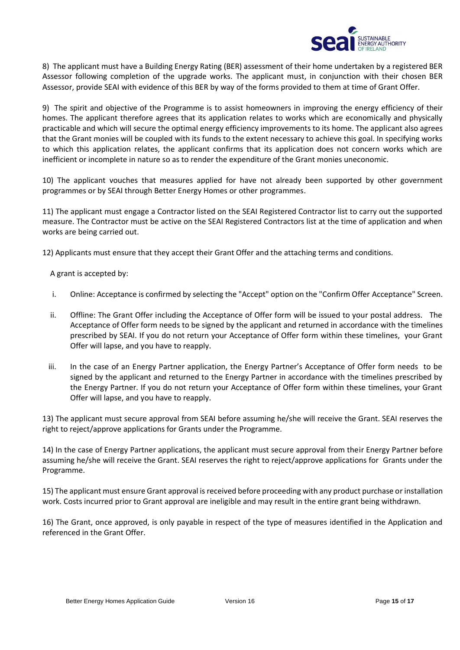

8) The applicant must have a Building Energy Rating (BER) assessment of their home undertaken by a registered BER Assessor following completion of the upgrade works. The applicant must, in conjunction with their chosen BER Assessor, provide SEAI with evidence of this BER by way of the forms provided to them at time of Grant Offer.

9) The spirit and objective of the Programme is to assist homeowners in improving the energy efficiency of their homes. The applicant therefore agrees that its application relates to works which are economically and physically practicable and which will secure the optimal energy efficiency improvements to its home. The applicant also agrees that the Grant monies will be coupled with its funds to the extent necessary to achieve this goal. In specifying works to which this application relates, the applicant confirms that its application does not concern works which are inefficient or incomplete in nature so as to render the expenditure of the Grant monies uneconomic.

10) The applicant vouches that measures applied for have not already been supported by other government programmes or by SEAI through Better Energy Homes or other programmes.

11) The applicant must engage a Contractor listed on the SEAI Registered Contractor list to carry out the supported measure. The Contractor must be active on the SEAI Registered Contractors list at the time of application and when works are being carried out.

12) Applicants must ensure that they accept their Grant Offer and the attaching terms and conditions.

A grant is accepted by:

- i. Online: Acceptance is confirmed by selecting the "Accept" option on the "Confirm Offer Acceptance" Screen.
- ii. Offline: The Grant Offer including the Acceptance of Offer form will be issued to your postal address. The Acceptance of Offer form needs to be signed by the applicant and returned in accordance with the timelines prescribed by SEAI. If you do not return your Acceptance of Offer form within these timelines, your Grant Offer will lapse, and you have to reapply.
- iii. In the case of an Energy Partner application, the Energy Partner's Acceptance of Offer form needs to be signed by the applicant and returned to the Energy Partner in accordance with the timelines prescribed by the Energy Partner. If you do not return your Acceptance of Offer form within these timelines, your Grant Offer will lapse, and you have to reapply.

13) The applicant must secure approval from SEAI before assuming he/she will receive the Grant. SEAI reserves the right to reject/approve applications for Grants under the Programme.

14) In the case of Energy Partner applications, the applicant must secure approval from their Energy Partner before assuming he/she will receive the Grant. SEAI reserves the right to reject/approve applications for Grants under the Programme.

15) The applicant must ensure Grant approval is received before proceeding with any product purchase or installation work. Costs incurred prior to Grant approval are ineligible and may result in the entire grant being withdrawn.

16) The Grant, once approved, is only payable in respect of the type of measures identified in the Application and referenced in the Grant Offer.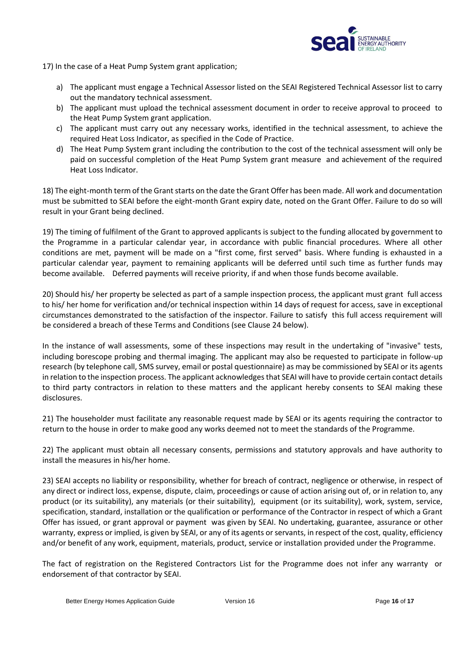

17) In the case of a Heat Pump System grant application;

- a) The applicant must engage a Technical Assessor listed on the SEAI Registered Technical Assessor list to carry out the mandatory technical assessment.
- b) The applicant must upload the technical assessment document in order to receive approval to proceed to the Heat Pump System grant application.
- c) The applicant must carry out any necessary works, identified in the technical assessment, to achieve the required Heat Loss Indicator, as specified in the Code of Practice.
- d) The Heat Pump System grant including the contribution to the cost of the technical assessment will only be paid on successful completion of the Heat Pump System grant measure and achievement of the required Heat Loss Indicator.

18) The eight-month term of the Grant starts on the date the Grant Offer has been made. All work and documentation must be submitted to SEAI before the eight-month Grant expiry date, noted on the Grant Offer. Failure to do so will result in your Grant being declined.

19) The timing of fulfilment of the Grant to approved applicants is subject to the funding allocated by government to the Programme in a particular calendar year, in accordance with public financial procedures. Where all other conditions are met, payment will be made on a "first come, first served" basis. Where funding is exhausted in a particular calendar year, payment to remaining applicants will be deferred until such time as further funds may become available. Deferred payments will receive priority, if and when those funds become available.

20) Should his/ her property be selected as part of a sample inspection process, the applicant must grant full access to his/ her home for verification and/or technical inspection within 14 days of request for access, save in exceptional circumstances demonstrated to the satisfaction of the inspector. Failure to satisfy this full access requirement will be considered a breach of these Terms and Conditions (see Clause 24 below).

In the instance of wall assessments, some of these inspections may result in the undertaking of "invasive" tests, including borescope probing and thermal imaging. The applicant may also be requested to participate in follow-up research (by telephone call, SMS survey, email or postal questionnaire) as may be commissioned by SEAI or its agents in relation to the inspection process. The applicant acknowledges that SEAI will have to provide certain contact details to third party contractors in relation to these matters and the applicant hereby consents to SEAI making these disclosures.

21) The householder must facilitate any reasonable request made by SEAI or its agents requiring the contractor to return to the house in order to make good any works deemed not to meet the standards of the Programme.

22) The applicant must obtain all necessary consents, permissions and statutory approvals and have authority to install the measures in his/her home.

23) SEAI accepts no liability or responsibility, whether for breach of contract, negligence or otherwise, in respect of any direct or indirect loss, expense, dispute, claim, proceedings or cause of action arising out of, or in relation to, any product (or its suitability), any materials (or their suitability), equipment (or its suitability), work, system, service, specification, standard, installation or the qualification or performance of the Contractor in respect of which a Grant Offer has issued, or grant approval or payment was given by SEAI. No undertaking, guarantee, assurance or other warranty, express or implied, is given by SEAI, or any of its agents or servants, in respect of the cost, quality, efficiency and/or benefit of any work, equipment, materials, product, service or installation provided under the Programme.

The fact of registration on the Registered Contractors List for the Programme does not infer any warranty or endorsement of that contractor by SEAI.